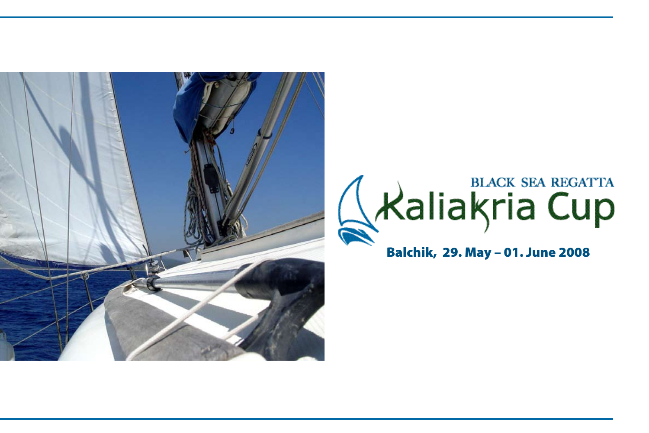



Balchik, 29. May – 01. June 2008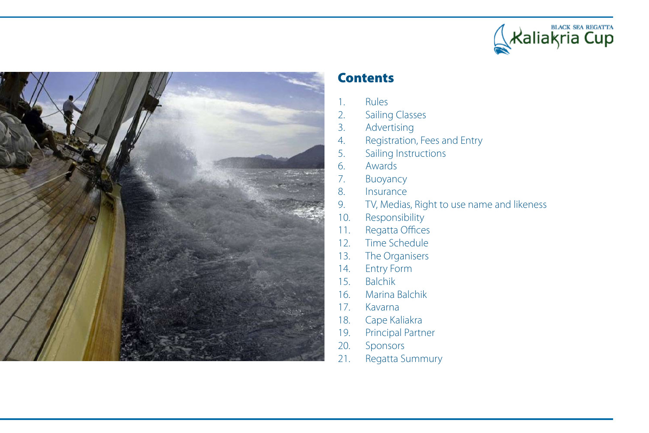



#### **Contents**

- 1. Rules
- 2. Sailing Classes
- 3. Advertising
- 4. Registration, Fees and Entry
- 5. Sailing Instructions
- 6. Awards
- 7. Buoyancy
- 8. Insurance
- 9. TV, Medias, Right to use name and likeness
- 10. Responsibility
- 11. Regatta Offices
- 12. Time Schedule
- 13. The Organisers
- 14. Entry Form
- 15. Balchik
- 16. Marina Balchik
- 17. Kavarna
- 18. Cape Kaliakra
- 19. Principal Partner
- 20. Sponsors
- 21. Regatta Summury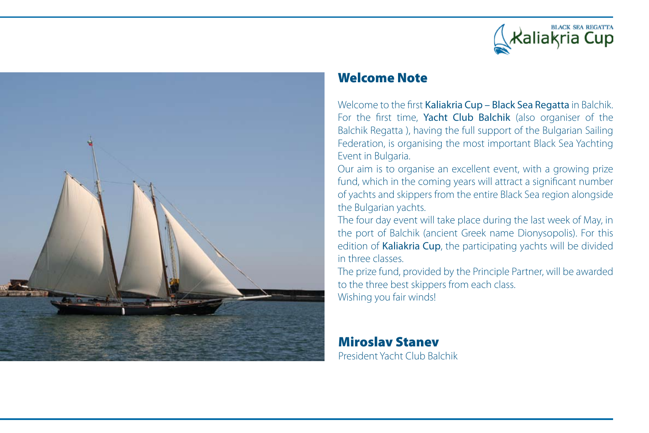



#### Welcome Note

Welcome to the first Kaliakria Cup - Black Sea Regatta in Balchik. For the first time, Yacht Club Balchik (also organiser of the Balchik Regatta ), having the full support of the Bulgarian Sailing Federation, is organising the most important Black Sea Yachting Event in Bulgaria.

Our aim is to organise an excellent event, with a growing prize fund, which in the coming years will attract a significant number of yachts and skippers from the entire Black Sea region alongside the Bulgarian yachts.

The four day event will take place during the last week of May, in the port of Balchik (ancient Greek name Dionysopolis). For this edition of Kaliakria Cup, the participating yachts will be divided in three classes.

The prize fund, provided by the Principle Partner, will be awarded to the three best skippers from each class. Wishing you fair winds!

#### Miroslav Stanev President Yacht Club Balchik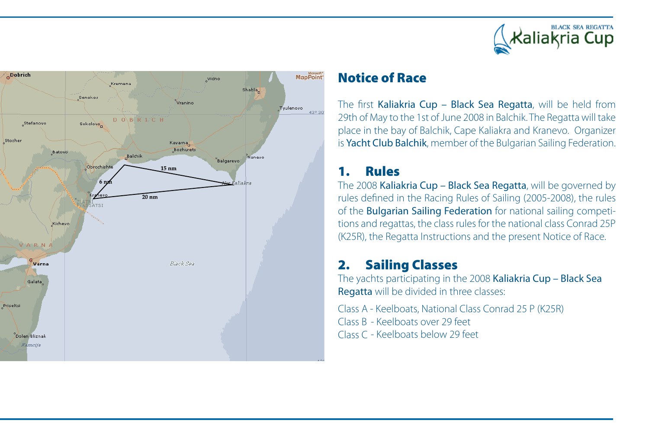



#### Notice of Race

The first Kaliakria Cup – Black Sea Regatta, will be held from 29th of May to the 1st of June 2008 in Balchik. The Regatta will take place in the bay of Balchik, Cape Kaliakra and Kranevo. Organizer is Yacht Club Balchik, member of the Bulgarian Sailing Federation.

# 1. Rules

The 2008 Kaliakria Cup – Black Sea Regatta, will be governed by rules defined in the Racing Rules of Sailing (2005-2008), the rules of the Bulgarian Sailing Federation for national sailing competitions and regattas, the class rules for the national class Conrad 25P (K25R), the Regatta Instructions and the present Notice of Race.

# 2. Sailing Classes

The yachts participating in the 2008 Kaliakria Cup – Black Sea Regatta will be divided in three classes:

Class A - Keelboats, National Class Conrad 25 P (K25R) Class B - Keelboats over 29 feet Class C - Keelboats below 29 feet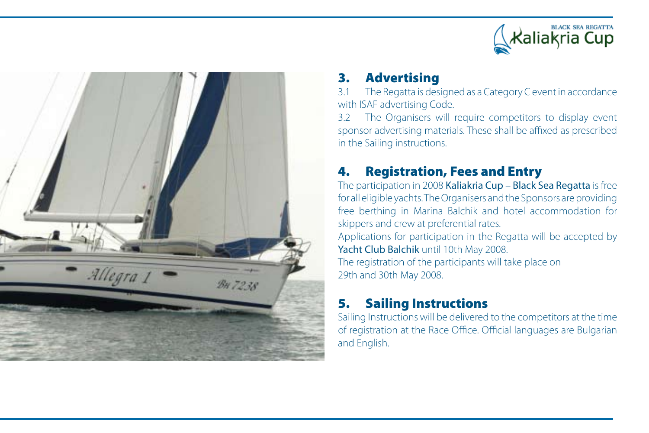



# 3. Advertising

3.1 The Regatta is designed as a Category C event in accordance with ISAF advertising Code.

3.2 The Organisers will require competitors to display event sponsor advertising materials. These shall be affixed as prescribed in the Sailing instructions.

# 4. Registration, Fees and Entry

The participation in 2008 Kaliakria Cup – Black Sea Regatta is free for all eligible yachts. The Organisers and the Sponsors are providing free berthing in Marina Balchik and hotel accommodation for skippers and crew at preferential rates.

Applications for participation in the Regatta will be accepted by Yacht Club Balchik until 10th May 2008.

The registration of the participants will take place on 29th and 30th May 2008.

# 5. Sailing Instructions

Sailing Instructions will be delivered to the competitors at the time of registration at the Race Office. Official languages are Bulgarian and English.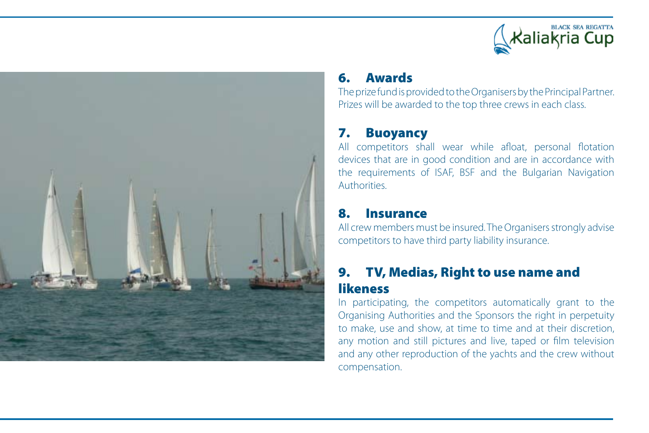



# 6. Awards

The prize fund is provided to the Organisers by the Principal Partner. Prizes will be awarded to the top three crews in each class.

# 7. Buoyancy

All competitors shall wear while afloat, personal flotation devices that are in good condition and are in accordance with the requirements of ISAF, BSF and the Bulgarian Navigation Authorities.

# 8. Insurance

All crew members must be insured. The Organisers strongly advise competitors to have third party liability insurance.

# 9. TV, Medias, Right to use name and likeness

In participating, the competitors automatically grant to the Organising Authorities and the Sponsors the right in perpetuity to make, use and show, at time to time and at their discretion, any motion and still pictures and live, taped or film television and any other reproduction of the yachts and the crew without compensation.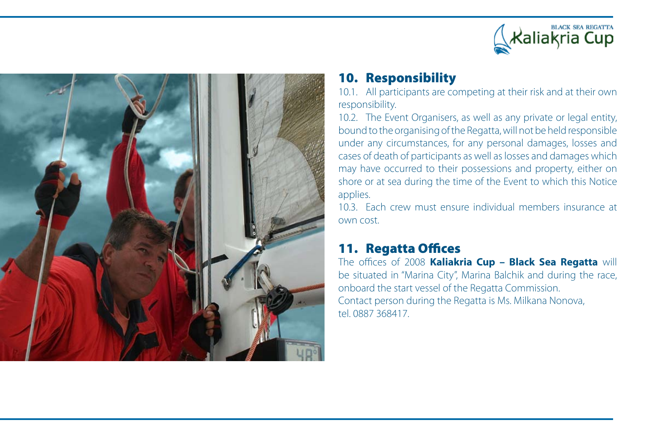



# 10. Responsibility

10.1. All participants are competing at their risk and at their own responsibility.

10.2. The Event Organisers, as well as any private or legal entity, bound to the organising of the Regatta, will not be held responsible under any circumstances, for any personal damages, losses and cases of death of participants as well aslosses and damages which may have occurred to their possessions and property, either on shore or at sea during the time of the Event to which this Notice applies.

10.3. Each crew must ensure individual members insurance at own cost.

# 11. Regatta Offices

The offices of 2008 **Kaliakria Cup – Black Sea Regatta** will be situated in "Marina City", Marina Balchik and during the race, onboard the start vessel of the Regatta Commission. Contact person during the Regatta is Ms. Milkana Nonova, tel. 0887 368417.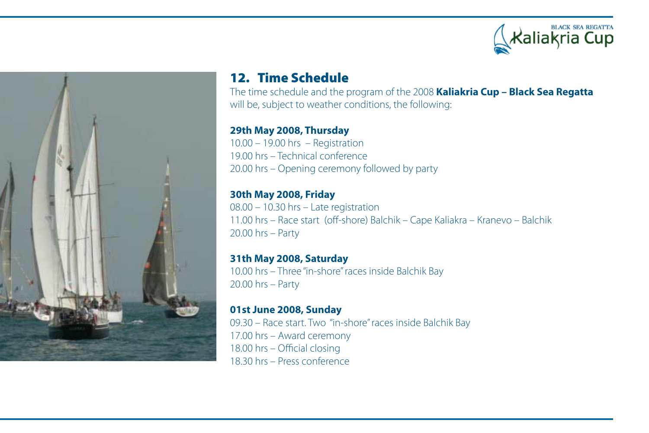



## 12. Time Schedule

The time schedule and the program of the 2008 **Kaliakria Cup – Black Sea Regatta** will be, subject to weather conditions, the following:

#### **29th May 2008, Thursday**

10.00 – 19.00 hrs – Registration 19.00 hrs – Technical conference 20.00 hrs – Opening ceremony followed by party

**30th May 2008, Friday** 08.00 – 10.30 hrs – Late registration 11.00 hrs – Race start (off-shore) Balchik – Cape Kaliakra – Кranevo – Balchik 20.00 hrs – Party

**31th May 2008, Saturday** 10.00 hrs - Three "in-shore" races inside Balchik Bay 20.00 hrs – Party

**01st June 2008, Sunday** 09.30 – Race start. Two "in-shore"races inside Balchik Bay 17.00 hrs – Award ceremony 18.00 hrs – Official closing 18.30 hrs – Press conference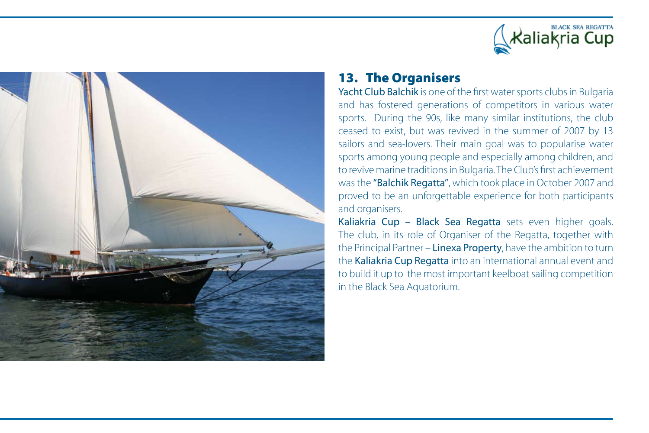



## 13. The Organisers

Yacht Club Balchik is one of the first water sports clubs in Bulgaria and has fostered generations of competitors in various water sports. During the 90s, like many similar institutions, the club ceased to exist, but was revived in the summer of 2007 by 13 sailors and sea-lovers. Their main goal was to popularise water sports among young people and especially among children, and to revive marine traditionsin Bulgaria.The Club's first achievement was the "Balchik Regatta", which took place in October 2007 and proved to be an unforgettable experience for both participants and organisers.

Kaliakria Cup - Black Sea Regatta sets even higher goals. The club, in its role of Organiser of the Regatta, together with the Principal Partner – Linexa Property, have the ambition to turn the Kaliakria Cup Regatta into an international annual event and to build it up to the most important keelboat sailing competition in the Black Sea Aquatorium.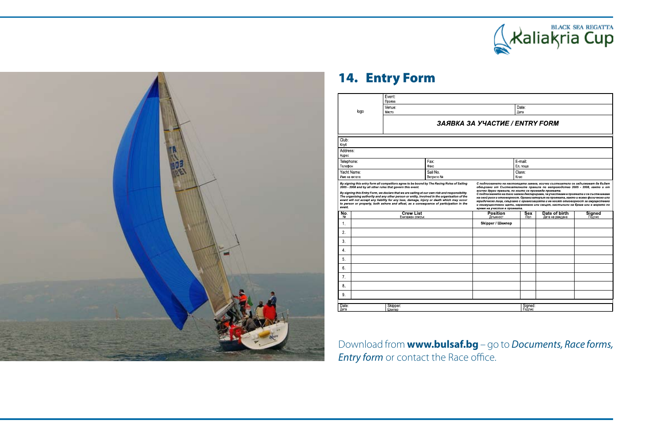



# 14. Entry Form

|                                                                                                                                                                                                                                                                                                                                                                                                                                                                                                                                                                                                                                                                                                                                                                                                                                                                                                                                                                                                                                                                                                                                                                          | Event:<br>Проява                      |                      |                      |                     |                                  |                  |  |
|--------------------------------------------------------------------------------------------------------------------------------------------------------------------------------------------------------------------------------------------------------------------------------------------------------------------------------------------------------------------------------------------------------------------------------------------------------------------------------------------------------------------------------------------------------------------------------------------------------------------------------------------------------------------------------------------------------------------------------------------------------------------------------------------------------------------------------------------------------------------------------------------------------------------------------------------------------------------------------------------------------------------------------------------------------------------------------------------------------------------------------------------------------------------------|---------------------------------------|----------------------|----------------------|---------------------|----------------------------------|------------------|--|
| logo                                                                                                                                                                                                                                                                                                                                                                                                                                                                                                                                                                                                                                                                                                                                                                                                                                                                                                                                                                                                                                                                                                                                                                     | Venue:<br>Място                       |                      |                      | Date:<br>Дата       |                                  |                  |  |
|                                                                                                                                                                                                                                                                                                                                                                                                                                                                                                                                                                                                                                                                                                                                                                                                                                                                                                                                                                                                                                                                                                                                                                          |                                       |                      |                      |                     |                                  |                  |  |
|                                                                                                                                                                                                                                                                                                                                                                                                                                                                                                                                                                                                                                                                                                                                                                                                                                                                                                                                                                                                                                                                                                                                                                          | <b>3ARBKA 3A YYACTUE / ENTRY FORM</b> |                      |                      |                     |                                  |                  |  |
| Club:<br>Клуб                                                                                                                                                                                                                                                                                                                                                                                                                                                                                                                                                                                                                                                                                                                                                                                                                                                                                                                                                                                                                                                                                                                                                            |                                       |                      |                      |                     |                                  |                  |  |
| Address:<br>Адрес                                                                                                                                                                                                                                                                                                                                                                                                                                                                                                                                                                                                                                                                                                                                                                                                                                                                                                                                                                                                                                                                                                                                                        |                                       |                      |                      |                     |                                  |                  |  |
| Telephone:<br>Телефон                                                                                                                                                                                                                                                                                                                                                                                                                                                                                                                                                                                                                                                                                                                                                                                                                                                                                                                                                                                                                                                                                                                                                    |                                       | Fax:<br>Факс         |                      | E-mail:<br>Ел. поща |                                  |                  |  |
| Yacht Name:<br>Име на яхтата                                                                                                                                                                                                                                                                                                                                                                                                                                                                                                                                                                                                                                                                                                                                                                                                                                                                                                                                                                                                                                                                                                                                             |                                       | Sail No<br>Ветрило № |                      | Class:<br>Клас      |                                  |                  |  |
| By signing this entry form all competitors agree to be bound by The Racing Rules of Sailing<br>С подписването на настоящата заявка, всички състезатели се задължават да бъдат<br>2005 - 2008 and by all other rules that govern this event.<br>обвързани от Състезателните правила по ветроходство 2005 - 2008, както и от<br>всички други правила, по които се провежда проявата.<br>By signing this Entry Form, we declare that we are sailing at our own risk and responsibility.<br>С подписването на тази заявка декларираме, че участваме в проявата и се състезаваме<br>The organising authority and any other person or entity, involved in the organisation of the<br>на свой риск и отговорност. Организаторът на проявата, както и всяко физическо или<br>event will not accept any liability for any loss, damage, injury or death which may occur<br>юридическо лице, свързано с организацията и не носят отговорност за имуществени<br>to person or property, both ashore and afloat, as a consequence of participation in the<br>и неимуществени щети, нараняване или смърт, настъпили на брега или в морето по<br>event.<br>време на участие в проявата. |                                       |                      |                      |                     |                                  |                  |  |
| No.<br>N <sub>2</sub>                                                                                                                                                                                                                                                                                                                                                                                                                                                                                                                                                                                                                                                                                                                                                                                                                                                                                                                                                                                                                                                                                                                                                    | <b>Crew List</b><br>Екипажен списък   |                      | Position<br>Длъжност | Sex<br>Пол          | Date of birth<br>Дата на раждане | Signed<br>Подпис |  |
| 1.                                                                                                                                                                                                                                                                                                                                                                                                                                                                                                                                                                                                                                                                                                                                                                                                                                                                                                                                                                                                                                                                                                                                                                       |                                       |                      | Skipper / Шкипер     |                     |                                  |                  |  |
| 2.                                                                                                                                                                                                                                                                                                                                                                                                                                                                                                                                                                                                                                                                                                                                                                                                                                                                                                                                                                                                                                                                                                                                                                       |                                       |                      |                      |                     |                                  |                  |  |
| 3.                                                                                                                                                                                                                                                                                                                                                                                                                                                                                                                                                                                                                                                                                                                                                                                                                                                                                                                                                                                                                                                                                                                                                                       |                                       |                      |                      |                     |                                  |                  |  |
| 4.                                                                                                                                                                                                                                                                                                                                                                                                                                                                                                                                                                                                                                                                                                                                                                                                                                                                                                                                                                                                                                                                                                                                                                       |                                       |                      |                      |                     |                                  |                  |  |
| 5.                                                                                                                                                                                                                                                                                                                                                                                                                                                                                                                                                                                                                                                                                                                                                                                                                                                                                                                                                                                                                                                                                                                                                                       |                                       |                      |                      |                     |                                  |                  |  |
| 6.                                                                                                                                                                                                                                                                                                                                                                                                                                                                                                                                                                                                                                                                                                                                                                                                                                                                                                                                                                                                                                                                                                                                                                       |                                       |                      |                      |                     |                                  |                  |  |
| 7.                                                                                                                                                                                                                                                                                                                                                                                                                                                                                                                                                                                                                                                                                                                                                                                                                                                                                                                                                                                                                                                                                                                                                                       |                                       |                      |                      |                     |                                  |                  |  |
| 8.                                                                                                                                                                                                                                                                                                                                                                                                                                                                                                                                                                                                                                                                                                                                                                                                                                                                                                                                                                                                                                                                                                                                                                       |                                       |                      |                      |                     |                                  |                  |  |
| 9                                                                                                                                                                                                                                                                                                                                                                                                                                                                                                                                                                                                                                                                                                                                                                                                                                                                                                                                                                                                                                                                                                                                                                        |                                       |                      |                      |                     |                                  |                  |  |
| Date:<br>Skipper:<br>Дата<br>Шкипер                                                                                                                                                                                                                                                                                                                                                                                                                                                                                                                                                                                                                                                                                                                                                                                                                                                                                                                                                                                                                                                                                                                                      |                                       |                      |                      | Signed:<br>Подпис   |                                  |                  |  |

Download from **www.bulsaf.bg** – go to *Documents, Race forms, Entry form* or contact the Race office.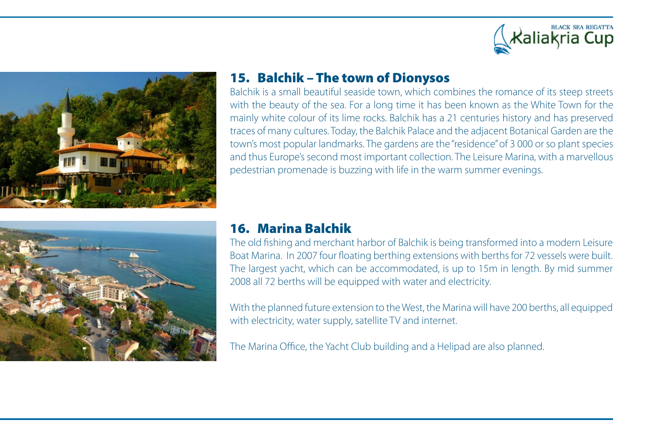





## 15. Balchik – The town of Dionysos

Balchik is a small beautiful seaside town, which combines the romance of its steep streets with the beauty of the sea. For a long time it has been known as the White Town for the mainly white colour of its lime rocks. Balchik has a 21 centuries history and has preserved traces of many cultures. Today, the Balchik Palace and the adjacent Botanical Garden are the town's most popular landmarks. The gardens are the"residence"of 3 000 or so plant species and thus Europe's second most important collection. The Leisure Marina, with a marvellous pedestrian promenade is buzzing with life in the warm summer evenings.

#### 16. Marina Balchik

The old fishing and merchant harbor of Balchik is being transformed into a modern Leisure Boat Marina. In 2007 four floating berthing extensions with berths for 72 vessels were built. The largest yacht, which can be accommodated, is up to 15m in length. By mid summer 2008 all 72 berths will be equipped with water and electricity.

With the planned future extension to the West, the Marina will have 200 berths, all equipped with electricity, water supply, satellite TV and internet.

The Marina Office, the Yacht Club building and a Helipad are also planned.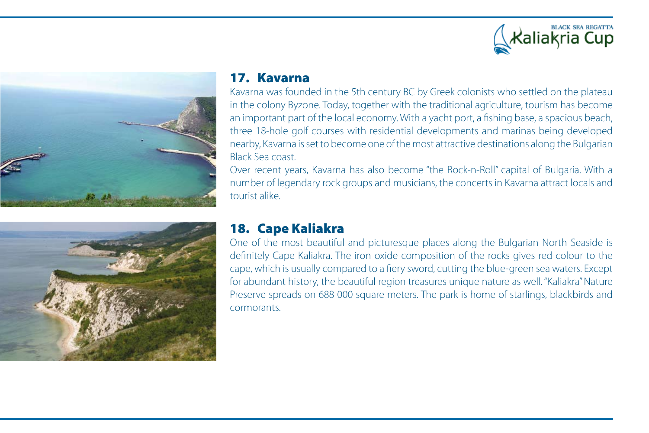





#### 17. Kavarna

Kavarna was founded in the 5th century BC by Greek colonists who settled on the plateau in the colony Byzone. Today, together with the traditional agriculture, tourism has become an important part of the local economy. With a yacht port, a fishing base, a spacious beach, three 18-hole golf courses with residential developments and marinas being developed nearby, Kavarna isset to become one of the most attractive destinations along the Bulgarian Black Sea coast.

Over recent years, Kavarna has also become "the Rock-n-Roll" capital of Bulgaria. With a number of legendary rock groups and musicians, the concerts in Kavarna attract locals and tourist alike.

## 18. Cape Kaliakra

One of the most beautiful and picturesque places along the Bulgarian North Seaside is definitely Cape Kaliakra. The iron oxide composition of the rocks gives red colour to the cape, which is usually compared to a fiery sword, cutting the blue-green sea waters. Except for abundant history, the beautiful region treasures unique nature as well. "Kaliakra" Nature Preserve spreads on 688 000 square meters. The park is home of starlings, blackbirds and cormorants.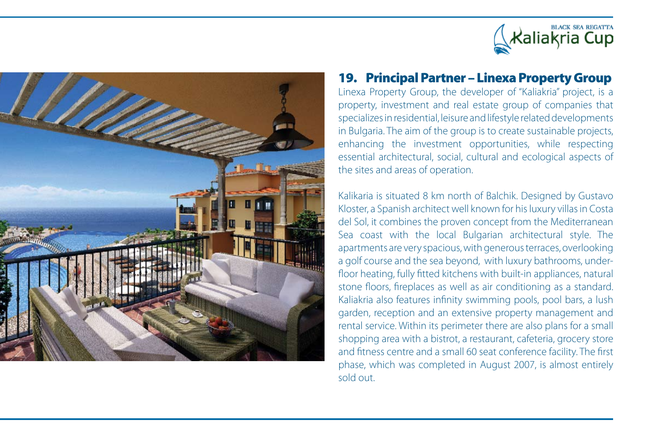



### 19. Principal Partner – Linexa Property Group

Linexa Property Group, the developer of "Kaliakria" project, is a property, investment and real estate group of companies that specializes in residential, leisure and lifestyle related developments in Bulgaria. The aim of the group is to create sustainable projects, enhancing the investment opportunities, while respecting essential architectural, social, cultural and ecological aspects of the sites and areas of operation.

Kalikaria is situated 8 km north of Balchik. Designed by Gustavo Kloster, a Spanish architect well known for hisluxury villasin Costa del Sol, it combines the proven concept from the Mediterranean Sea coast with the local Bulgarian architectural style. The apartments are very spacious,with generousterraces, overlooking a golf course and the sea beyond, with luxury bathrooms, underfloor heating, fully fitted kitchens with built-in appliances, natural stone floors, fireplaces as well as air conditioning as a standard. Kaliakria also features infinity swimming pools, pool bars, a lush garden, reception and an extensive property management and rental service. Within its perimeter there are also plans for a small shopping area with a bistrot, a restaurant, cafeteria, grocery store and fitness centre and a small 60 seat conference facility. The first phase, which was completed in August 2007, is almost entirely sold out.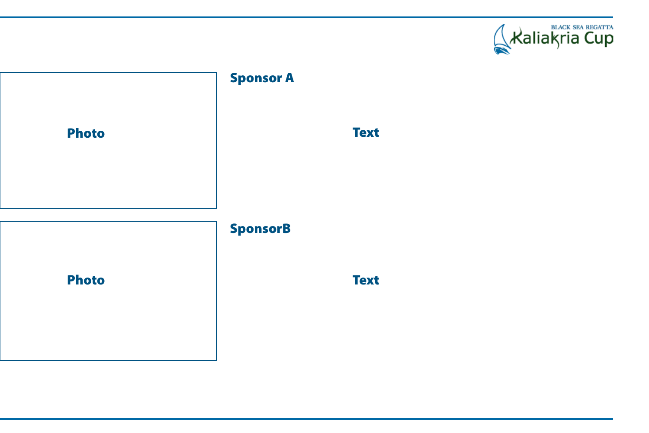



# **Text**